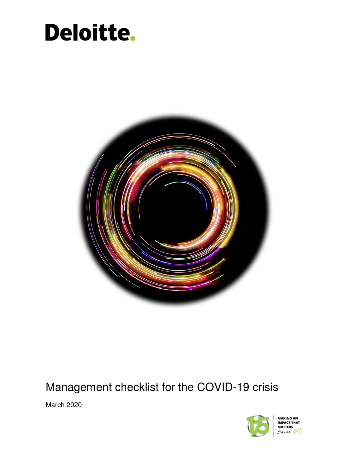# Deloitte.



## Management checklist for the COVID-19 crisis

March 2020

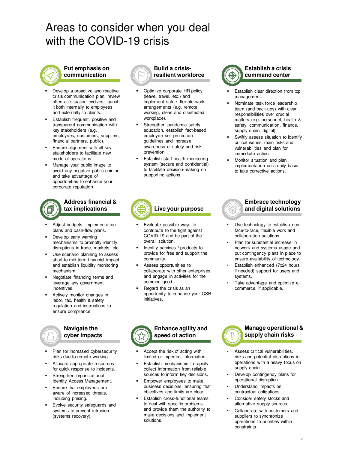## Areas to consider when you deal with the COVID-19 crisis

## **Put emphasis on communication**

- Develop a proactive and reactive crisis communication plan, review often as situation evolves, launch it both internally to employees and externally to clients.
- Establish frequent, positive and transparent communication with key stakeholders (e.g. employees, customers, suppliers, financial partners, public).
- Ensure alignment with all key stakeholders to facilitate new mode of operations.
- Manage your public image to avoid any negative public opinion and take advantage of opportunities to enhance your corporate reputation.



#### **Address financial & tax implications**

- Adjust budgets, implementation plans and cash-flow plans.
- Develop early warning mechanisms to promptly identify disruptions in trade, markets, etc.
- Use scenario planning to assess short to mid term financial impact and establish liquidity monitoring mechanism.
- Negotiate financing terms and leverage any government incentives.
- Actively monitor changes in labor, tax, health & safety regulation and instructions to ensure compliance.

#### **Navigate the cyber impacts**

- Plan for increased cybersecurity risks due to remote working.
- Allocate appropriate resources for quick response to incidents.
- Strengthen organizational Identity Access Management.
- Ensure that employees are aware of increased threats, including phising.
- Evolve security safeguards and systems to prevent intrusion (systems recovery).



**Build a crisisresilient workforce**

- Optimize corporate HR policy (leave, travel, etc.) and implement safe / flexible work arrangements (e.g. remote working, clean and disinfected workplace).
- Strengthen pandemic safety education, establish fact-based employee self-protection guidelines and increase awareness of safety and risk prevention.
- Establish staff health monitoring system (secure and confidential) to facilitate decision-making on supporting actions.



- Establish clear direction from top management.
- Nominate task force leadership team (and back-ups) with clear responsibilities over crucial matters (e.g. personnel, health & safety, communication, finance, supply chain, digital).
- Swiftly assess situation to identify critical issues, main risks and vulnerabilities and plan for immediate action.
- Monitor situation and plan implementation on a daily basis to take corrective actions.

## **Live your purpose**

- Evaluate possible ways to contribute to the fight against COVID-19 and be part of the overall solution.
- Identify services / products to provide for free and support the community.
- Assess opportunities to collaborate with other enterprises and engage in activities for the common good.
- Regard the crisis as an opportunity to enhance your CSR initiatives.

## **Embrace technology and digital solutions**

- Use technology to establish non face-to-face, flexible work and collaboration solutions.
- Plan for substantial increase in network and systems usage and put contingency plans in place to ensure availability of technology.
- Establish enhanced (7x24 hours if needed) support for users and systems.
- Take advantage and optimize ecommerce, if applicable.



- Accept the risk of acting with limited or imperfect information.
- Establish mechanisms to rapidly collect information from reliable sources to inform key decisions.
- Empower employees to make business decisions, ensuring that objectives and limits are clear.
- Establish cross-functional teams to deal with specific problems and provide them the authority to make decisions and implement solutions.



- **supply chain risks**
- Assess critical vulnerabilities. risks and potential disruptions in operations with a heavy focus on supply chain.
- Develop contingency plans for operational disruption.
- Understand impacts on contractual obligations.
- Consider safety stocks and alternative supply sources.
- Collaborate with customers and suppliers to synchronize operations to priorities within constraints.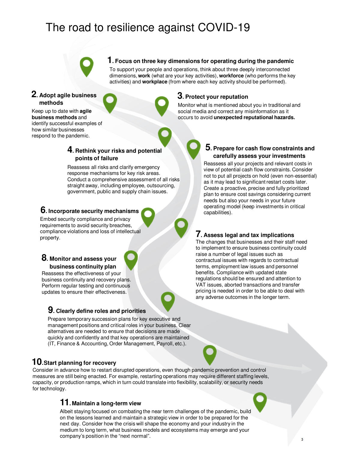## The road to resilience against COVID-19

## **1. Focus on three key dimensions for operating during the pandemic**

To support your people and operations, think about three deeply interconnected dimensions, **work** (what are your key activities), **workforce** (who performs the key activities) and **workplace** (from where each key activity should be performed).

## **2. Adopt agile business methods**

Keep up to date with **agile business methods** and identify successful examples of how similar businesses respond to the pandemic.

## **3. Protect your reputation**

Monitor what is mentioned about you in traditional and social media and correct any misinformation as it occurs to avoid **unexpected reputational hazards.**

#### **4. Rethink your risks and potential points of failure**

Reassess all risks and clarify emergency response mechanisms for key risk areas. Conduct a comprehensive assessment of all risks straight away, including employee, outsourcing, government, public and supply chain issues.

### **6. Incorporate security mechanisms**

Embed security compliance and privacy requirements to avoid security breaches, compliance violations and loss of intellectual property. **7. Assess legal and tax implications**

#### **8. Monitor and assess your business continuity plan**

Reassess the effectiveness of your business continuity and recovery plans. Perform regular testing and continuous updates to ensure their effectiveness.

## **9. Clearly define roles and priorities**

Prepare temporary succession plans for key executive and management positions and critical roles in your business. Clear alternatives are needed to ensure that decisions are made quickly and confidently and that key operations are maintained (IT, Finance & Accounting, Order Management, Payroll, etc.).

## **10.Start planning for recovery**

Consider in advance how to restart disrupted operations, even though pandemic prevention and control measures are still being enacted. For example, restarting operations may require different staffing levels, capacity, or production ramps, which in turn could translate into flexibility, scalability, or security needs for technology.

## **11. Maintain a long-term view**

Albeit staying focused on combating the near term challenges of the pandemic, build on the lessons learned and maintain a strategic view in order to be prepared for the next day. Consider how the crisis will shape the economy and your industry in the medium to long term, what business models and ecosystems may emerge and your company's position in the "next normal".

## **5. Prepare for cash flow constraints and carefully assess your investments**

Reassess all your projects and relevant costs in view of potential cash flow constraints. Consider not to put all projects on hold (even non-essential) as it may lead to significant restart costs later. Create a proactive, precise and fully prioritized plan to ensure cost savings considering current needs but also your needs in your future operating model (keep investments in critical capabilities).

The changes that businesses and their staff need to implement to ensure business continuity could raise a number of legal issues such as contractual issues with regards to contractual terms, employment law issues and personnel benefits. Compliance with updated state regulations should be ensured and attention to VAT issues, aborted transactions and transfer pricing is needed in order to be able to deal with any adverse outcomes in the longer term.